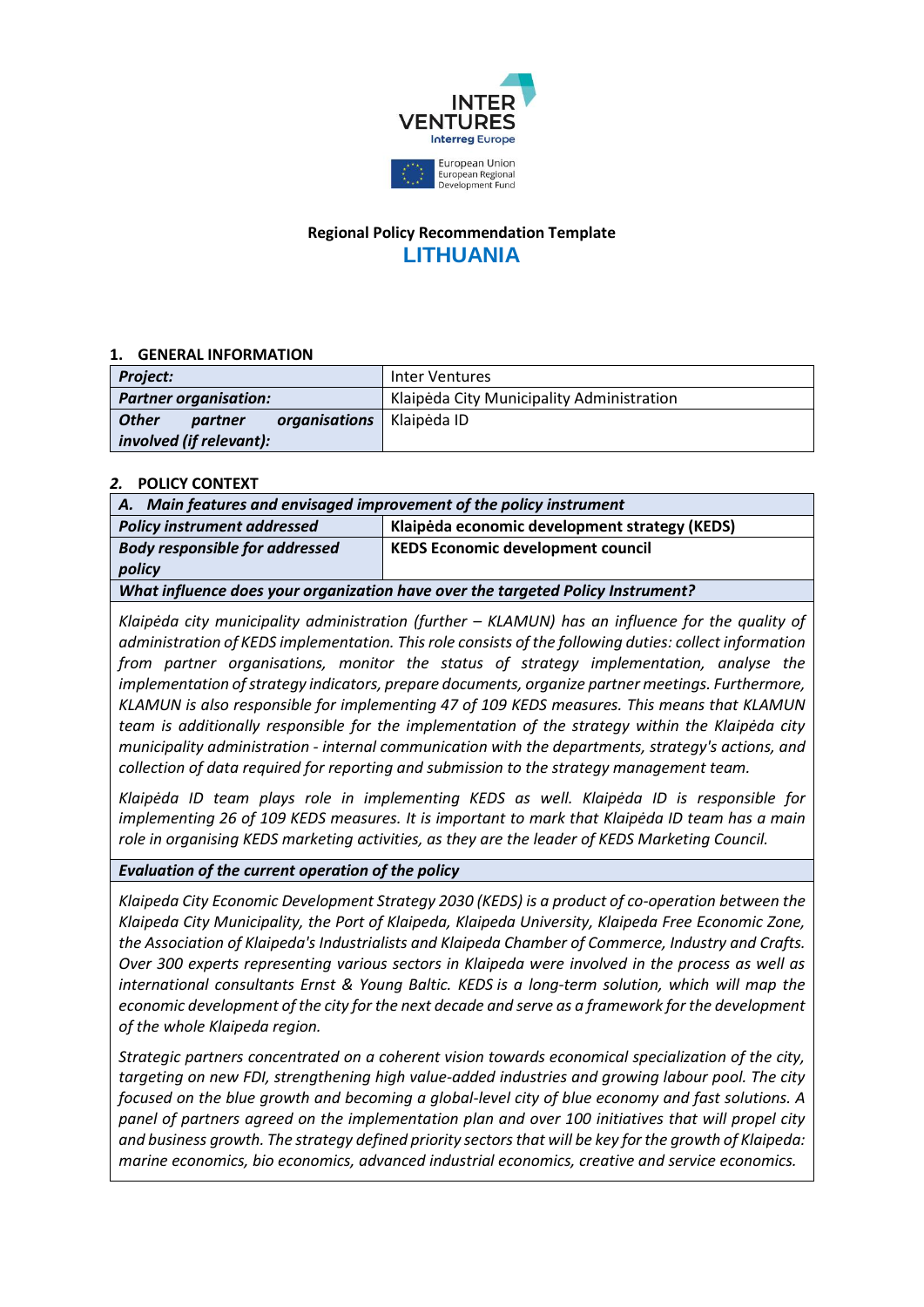

# **Regional Policy Recommendation Template LITHUANIA**

# **1. GENERAL INFORMATION**

| <b>Project:</b>                          | <b>Inter Ventures</b>                     |
|------------------------------------------|-------------------------------------------|
| <b>Partner organisation:</b>             | Klaipėda City Municipality Administration |
| <b>Other</b><br>organisations<br>partner | Klaipėda ID                               |
| involved (if relevant):                  |                                           |

# *2.* **POLICY CONTEXT**

| A. Main features and envisaged improvement of the policy instrument             |                                               |
|---------------------------------------------------------------------------------|-----------------------------------------------|
| <b>Policy instrument addressed</b>                                              | Klaipėda economic development strategy (KEDS) |
| <b>Body responsible for addressed</b>                                           | <b>KEDS Economic development council</b>      |
| policy                                                                          |                                               |
| What influence does your organization have over the targeted Policy Instrument? |                                               |

*Klaipėda city municipality administration (further – KLAMUN) has an influence for the quality of administration of KEDS implementation. This role consists of the following duties: collect information from partner organisations, monitor the status of strategy implementation, analyse the implementation of strategy indicators, prepare documents, organize partner meetings. Furthermore, KLAMUN is also responsible for implementing 47 of 109 KEDS measures. This means that KLAMUN team is additionally responsible for the implementation of the strategy within the Klaipėda city municipality administration - internal communication with the departments, strategy's actions, and collection of data required for reporting and submission to the strategy management team.*

*Klaipėda ID team plays role in implementing KEDS as well. Klaipėda ID is responsible for implementing 26 of 109 KEDS measures. It is important to mark that Klaipėda ID team has a main role in organising KEDS marketing activities, as they are the leader of KEDS Marketing Council.*

### *Evaluation of the current operation of the policy*

*Klaipeda City Economic Development Strategy 2030 (KEDS) is a product of co-operation between the Klaipeda City Municipality, the Port of Klaipeda, Klaipeda University, Klaipeda Free Economic Zone, the Association of Klaipeda's Industrialists and Klaipeda Chamber of Commerce, Industry and Crafts. Over 300 experts representing various sectors in Klaipeda were involved in the process as well as international consultants Ernst & Young Baltic. KEDS is a long-term solution, which will map the economic development of the city for the next decade and serve as a framework for the development of the whole Klaipeda region.*

*Strategic partners concentrated on a coherent vision towards economical specialization of the city, targeting on new FDI, strengthening high value-added industries and growing labour pool. The city focused on the blue growth and becoming a global-level city of blue economy and fast solutions. A panel of partners agreed on the implementation plan and over 100 initiatives that will propel city and business growth. The strategy defined priority sectors that will be key for the growth of Klaipeda: marine economics, bio economics, advanced industrial economics, creative and service economics.*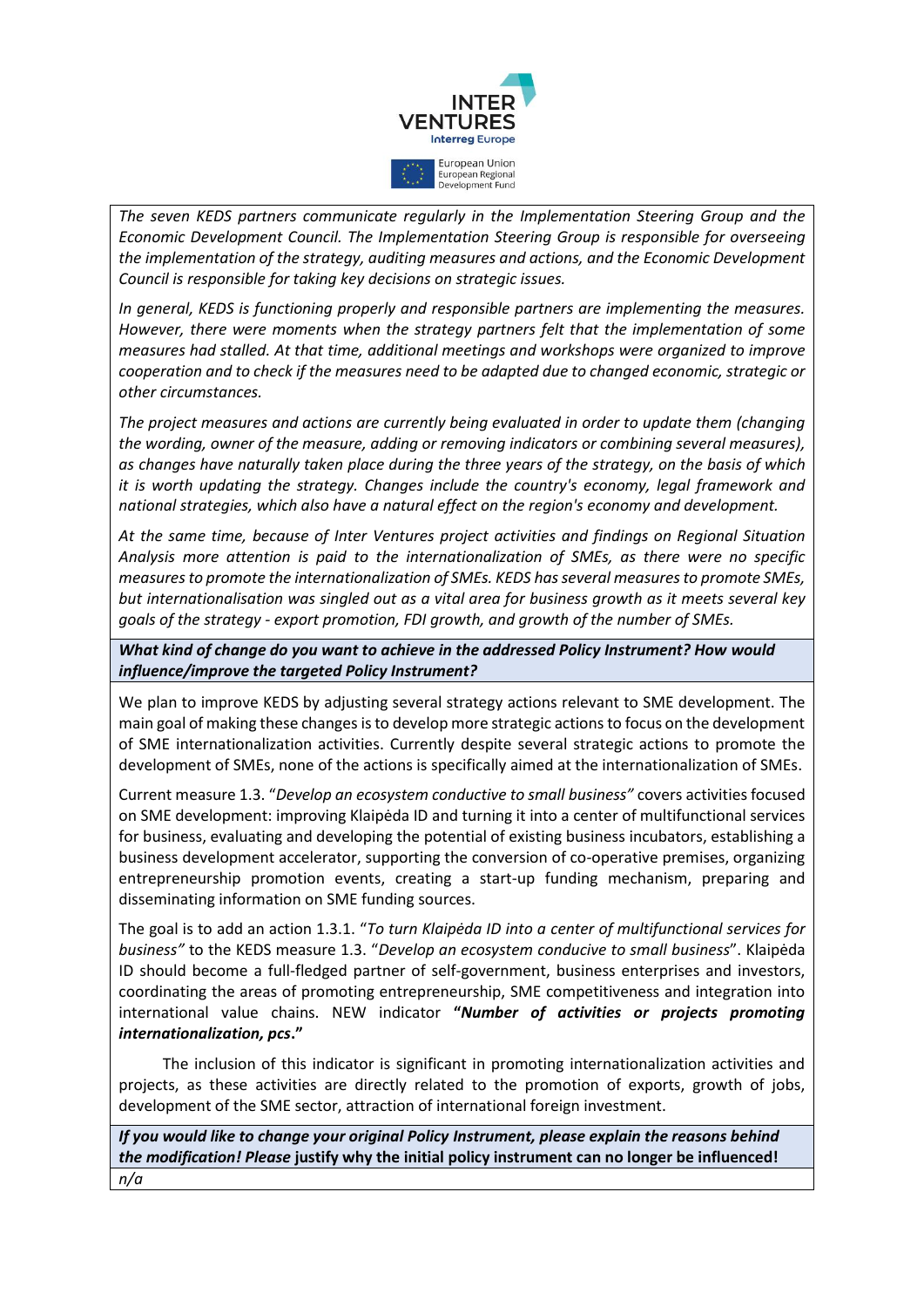

*The seven KEDS partners communicate regularly in the Implementation Steering Group and the Economic Development Council. The Implementation Steering Group is responsible for overseeing the implementation of the strategy, auditing measures and actions, and the Economic Development Council is responsible for taking key decisions on strategic issues.*

*In general, KEDS is functioning properly and responsible partners are implementing the measures. However, there were moments when the strategy partners felt that the implementation of some measures had stalled. At that time, additional meetings and workshops were organized to improve cooperation and to check if the measures need to be adapted due to changed economic, strategic or other circumstances.*

*The project measures and actions are currently being evaluated in order to update them (changing the wording, owner of the measure, adding or removing indicators or combining several measures), as changes have naturally taken place during the three years of the strategy, on the basis of which it is worth updating the strategy. Changes include the country's economy, legal framework and national strategies, which also have a natural effect on the region's economy and development.*

*At the same time, because of Inter Ventures project activities and findings on Regional Situation Analysis more attention is paid to the internationalization of SMEs, as there were no specific measures to promote the internationalization of SMEs. KEDS has several measures to promote SMEs, but internationalisation was singled out as a vital area for business growth as it meets several key goals of the strategy - export promotion, FDI growth, and growth of the number of SMEs.*

*What kind of change do you want to achieve in the addressed Policy Instrument? How would influence/improve the targeted Policy Instrument?*

We plan to improve KEDS by adjusting several strategy actions relevant to SME development. The main goal of making these changes is to develop more strategic actions to focus on the development of SME internationalization activities. Currently despite several strategic actions to promote the development of SMEs, none of the actions is specifically aimed at the internationalization of SMEs.

Current measure 1.3. "*Develop an ecosystem conductive to small business"* covers activities focused on SME development: improving Klaipėda ID and turning it into a center of multifunctional services for business, evaluating and developing the potential of existing business incubators, establishing a business development accelerator, supporting the conversion of co-operative premises, organizing entrepreneurship promotion events, creating a start-up funding mechanism, preparing and disseminating information on SME funding sources.

The goal is to add an action 1.3.1. "*To turn Klaipėda ID into a center of multifunctional services for business"* to the KEDS measure 1.3. "*Develop an ecosystem conducive to small business*". Klaipėda ID should become a full-fledged partner of self-government, business enterprises and investors, coordinating the areas of promoting entrepreneurship, SME competitiveness and integration into international value chains. NEW indicator **"***Number of activities or projects promoting internationalization, pcs***."**

The inclusion of this indicator is significant in promoting internationalization activities and projects, as these activities are directly related to the promotion of exports, growth of jobs, development of the SME sector, attraction of international foreign investment.

*If you would like to change your original Policy Instrument, please explain the reasons behind the modification! Please* **justify why the initial policy instrument can no longer be influenced!** *n/a*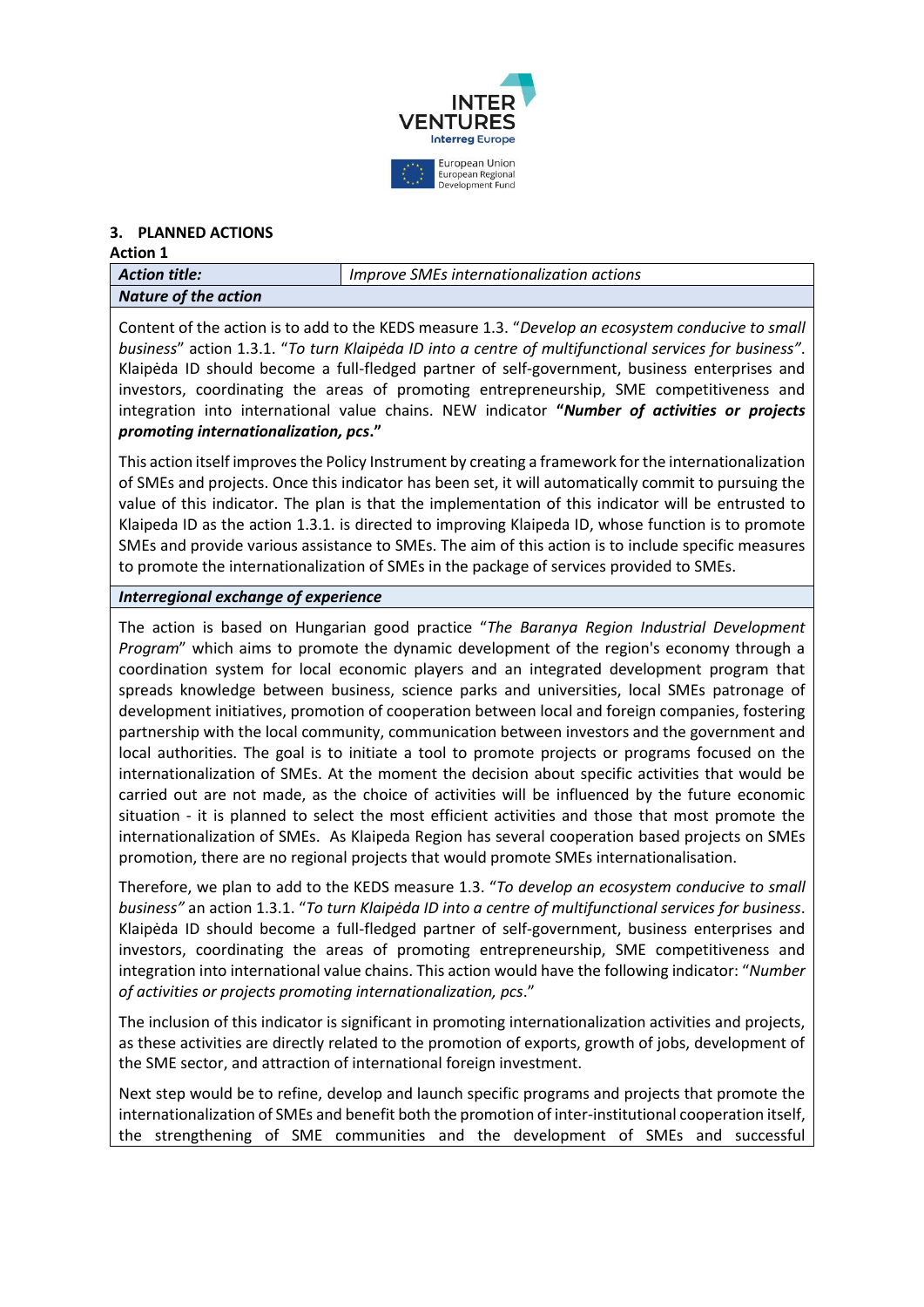

# **3. PLANNED ACTIONS**

#### **Action 1**

| $\mid$ Action title: | Improve SMEs internationalization actions |
|----------------------|-------------------------------------------|
| Nature of the action |                                           |

Content of the action is to add to the KEDS measure 1.3. "*Develop an ecosystem conducive to small business*" action 1.3.1. "*To turn Klaipėda ID into a centre of multifunctional services for business"*. Klaipėda ID should become a full-fledged partner of self-government, business enterprises and investors, coordinating the areas of promoting entrepreneurship, SME competitiveness and integration into international value chains. NEW indicator **"***Number of activities or projects promoting internationalization, pcs***."**

This action itself improves the Policy Instrument by creating a framework for the internationalization of SMEs and projects. Once this indicator has been set, it will automatically commit to pursuing the value of this indicator. The plan is that the implementation of this indicator will be entrusted to Klaipeda ID as the action 1.3.1. is directed to improving Klaipeda ID, whose function is to promote SMEs and provide various assistance to SMEs. The aim of this action is to include specific measures to promote the internationalization of SMEs in the package of services provided to SMEs.

### *Interregional exchange of experience*

The action is based on Hungarian good practice "*The Baranya Region Industrial Development Program*" which aims to promote the dynamic development of the region's economy through a coordination system for local economic players and an integrated development program that spreads knowledge between business, science parks and universities, local SMEs patronage of development initiatives, promotion of cooperation between local and foreign companies, fostering partnership with the local community, communication between investors and the government and local authorities. The goal is to initiate a tool to promote projects or programs focused on the internationalization of SMEs. At the moment the decision about specific activities that would be carried out are not made, as the choice of activities will be influenced by the future economic situation - it is planned to select the most efficient activities and those that most promote the internationalization of SMEs. As Klaipeda Region has several cooperation based projects on SMEs promotion, there are no regional projects that would promote SMEs internationalisation.

Therefore, we plan to add to the KEDS measure 1.3. "*To develop an ecosystem conducive to small business"* an action 1.3.1. "*To turn Klaipėda ID into a centre of multifunctional services for business*. Klaipėda ID should become a full-fledged partner of self-government, business enterprises and investors, coordinating the areas of promoting entrepreneurship, SME competitiveness and integration into international value chains. This action would have the following indicator: "*Number of activities or projects promoting internationalization, pcs*."

The inclusion of this indicator is significant in promoting internationalization activities and projects, as these activities are directly related to the promotion of exports, growth of jobs, development of the SME sector, and attraction of international foreign investment.

Next step would be to refine, develop and launch specific programs and projects that promote the internationalization of SMEs and benefit both the promotion of inter-institutional cooperation itself, the strengthening of SME communities and the development of SMEs and successful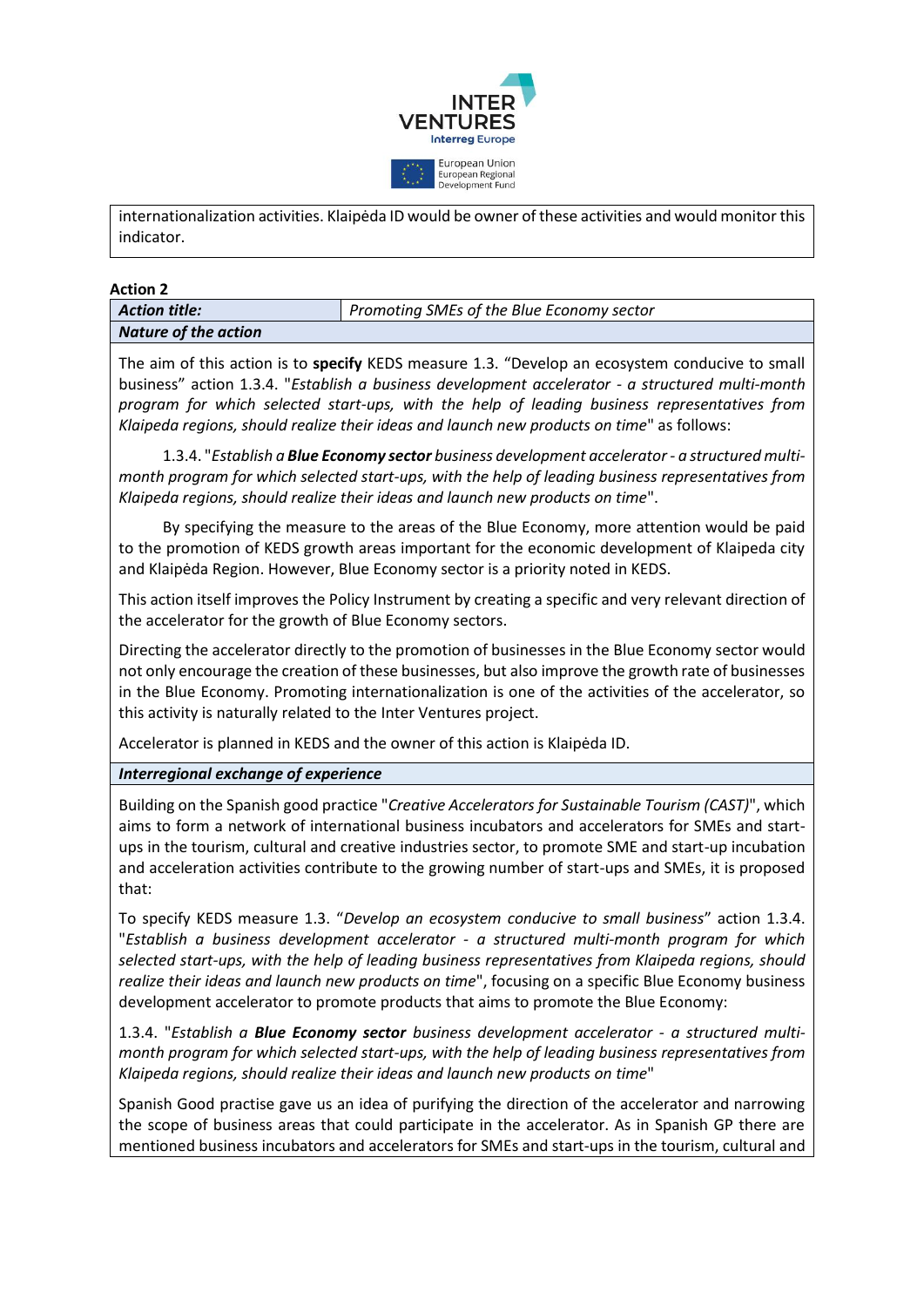

internationalization activities. Klaipėda ID would be owner of these activities and would monitor this indicator.

**Action 2**

| <b>Action title:</b>        | Promoting SMEs of the Blue Economy sector |
|-----------------------------|-------------------------------------------|
| <b>Nature of the action</b> |                                           |

The aim of this action is to **specify** KEDS measure 1.3. "Develop an ecosystem conducive to small business" action 1.3.4. "*Establish a business development accelerator - a structured multi-month program for which selected start-ups, with the help of leading business representatives from Klaipeda regions, should realize their ideas and launch new products on time*" as follows:

1.3.4. "*Establish a Blue Economy sector business development accelerator - a structured multimonth program for which selected start-ups, with the help of leading business representatives from Klaipeda regions, should realize their ideas and launch new products on time*".

By specifying the measure to the areas of the Blue Economy, more attention would be paid to the promotion of KEDS growth areas important for the economic development of Klaipeda city and Klaipėda Region. However, Blue Economy sector is a priority noted in KEDS.

This action itself improves the Policy Instrument by creating a specific and very relevant direction of the accelerator for the growth of Blue Economy sectors.

Directing the accelerator directly to the promotion of businesses in the Blue Economy sector would not only encourage the creation of these businesses, but also improve the growth rate of businesses in the Blue Economy. Promoting internationalization is one of the activities of the accelerator, so this activity is naturally related to the Inter Ventures project.

Accelerator is planned in KEDS and the owner of this action is Klaipėda ID.

# *Interregional exchange of experience*

Building on the Spanish good practice "*Creative Accelerators for Sustainable Tourism (CAST)*", which aims to form a network of international business incubators and accelerators for SMEs and startups in the tourism, cultural and creative industries sector, to promote SME and start-up incubation and acceleration activities contribute to the growing number of start-ups and SMEs, it is proposed that:

To specify KEDS measure 1.3. "*Develop an ecosystem conducive to small business*" action 1.3.4. "*Establish a business development accelerator - a structured multi-month program for which selected start-ups, with the help of leading business representatives from Klaipeda regions, should realize their ideas and launch new products on time*", focusing on a specific Blue Economy business development accelerator to promote products that aims to promote the Blue Economy:

1.3.4. "*Establish a Blue Economy sector business development accelerator - a structured multimonth program for which selected start-ups, with the help of leading business representatives from Klaipeda regions, should realize their ideas and launch new products on time*"

Spanish Good practise gave us an idea of purifying the direction of the accelerator and narrowing the scope of business areas that could participate in the accelerator. As in Spanish GP there are mentioned business incubators and accelerators for SMEs and start-ups in the tourism, cultural and